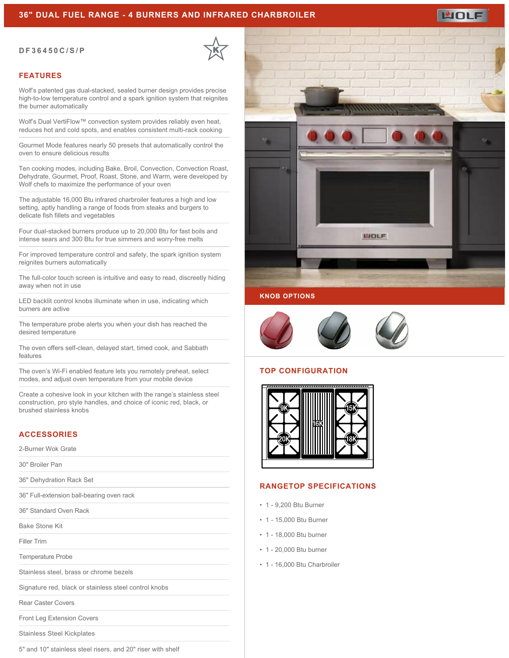### **36" DUAL FUEL RANGE - 4 BURNERS AND INFRARED CHARBROILER**

### **DF36450C/S/P**



### **FEATURES**

Wolf's patented gas dual-stacked, sealed burner design provides precise high-to-low temperature control and a spark ignition system that reignites the burner automatically

Wolf's Dual VertiFlow™ convection system provides reliably even heat, reduces hot and cold spots, and enables consistent multi-rack cooking

Gourmet Mode features nearly 50 presets that automatically control the oven to ensure delicious results

Ten cooking modes, including Bake, Broil, Convection, Convection Roast, Dehydrate, Gourmet, Proof, Roast, Stone, and Warm, were developed by Wolf chefs to maximize the performance of your oven

The adjustable 16,000 Btu infrared charbroiler features a high and low setting, aptly handling a range of foods from steaks and burgers to delicate fish fillets and vegetables

Four dual-stacked burners produce up to 20,000 Btu for fast boils and intense sears and 300 Btu for true simmers and worry-free melts

For improved temperature control and safety, the spark ignition system reignites burners automatically

The full-color touch screen is intuitive and easy to read, discreetly hiding away when not in use

LED backlit control knobs illuminate when in use, indicating which burners are active

The temperature probe alerts you when your dish has reached the desired temperature

The oven offers self-clean, delayed start, timed cook, and Sabbath features

The oven's Wi-Fi enabled feature lets you remotely preheat, select modes, and adjust oven temperature from your mobile device

Create a cohesive look in your kitchen with the range's stainless steel construction, pro style handles, and choice of iconic red, black, or brushed stainless knobs

# **ACCESSORIES**

2-Burner Wok Grate

30" Broiler Pan

36" Dehydration Rack Set

36" Full-extension ball-bearing oven rack

36" Standard Oven Rack

Bake Stone Kit

Filler Trim

Temperature Probe

Stainless steel, brass or chrome bezels

Signature red, black or stainless steel control knobs

Rear Caster Covers

Front Leg Extension Covers

Stainless Steel Kickplates

5" and 10" stainless steel risers, and 20" riser with shelf



MOLE



### **TOP CONFIGURATION**



### **RANGETOP SPECIFICATIONS**

- 1 9,200 Btu Burner
- 1 15,000 Btu Burner
- 1 18,000 Btu burner
- 1 20,000 Btu burner
- 1 16,000 Btu Charbroiler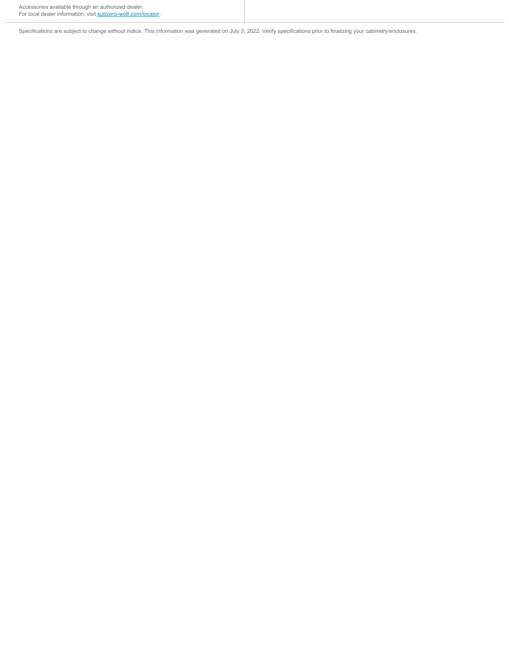Specifications are subject to change without notice. This information was generated on July 3, 2022. Verify specifications prior to finalizing your cabinetry/enclosures.